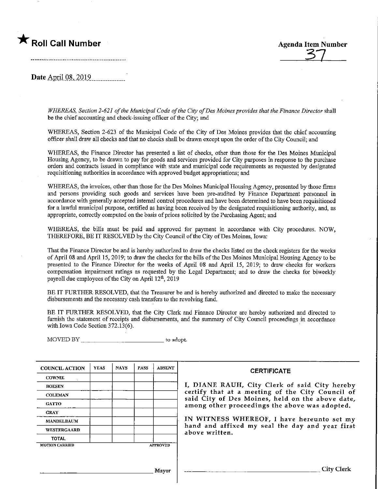

Date April 08, 2019

WHEREAS, Section 2-621 of the Municipal Code of the City of Des Moines provides that the Finance Director shall be the chief accounting and check-issuing officer of the City; and

WHEREAS, Section 2-623 of the Municipal Code of the City of Des Moines provides that the chief accomiting officer shall draw all checks and that no checks shaU be drawn except upon the order of the City Council; and

WHEREAS, the Finance Director has presented a list of checks, other than those for the Des Moines Municipal Housing Agency, to be drawn to pay for goods and services provided for City purposes in response to the purchase orders and contracts issued in compliance with state and municipal code requirements as requested by designated requisitioning authorities in accordance with approved budget appropriations; and

WHEREAS, the invoices, other than those for the Des Moines Municipal Housing Agency, presented by those firms and persons providing such goods and services have been pre-audited by Finance Department personnel in accordance with generally accepted internal control procedures and have been determined to have been requisitioned for a lawful municipal purpose, certified as having been received by the designated requisitioning authority, and, as appropriate, correctly computed on the basis of prices solicited by the Purchasing Agent; and

WHEREAS, the bills must be paid and approved for payment in accordance with City procedures. NOW, THEREFORE, BE IT RESOLVED by the City Council of the City of Des Moines, Iowa:

That the Finance Director be and is hereby authorized to draw the checks listed on the check registers for the weeks of April 08 and April 15, 2019; to draw the checks for the bills of the Des Moines Municipal Housing Agency to be presented to the Finance Director for the weeks of April 08 and April 15, 2019; to draw checks for workers compensation impairment ratings as requested by the Legal Department; and to draw the checks for biweekly payroll due employees of the City on April 12<sup>th</sup>, 2019

BE IT FURTHER RESOLVED, that the Treasurer be and is hereby authorized and directed to make the necessary disbursements and the necessary cash transfers to the revolving fund.

BE IT FURTHER RESOLVED, that the City Clerk and Finance Director are hereby authorized and directed to furnish the statement of receipts and disbursements, and the summary of City Council proceedings in accordance with Iowa Code Section  $372.13(6)$ .

MOVED BY \_\_\_\_\_\_\_\_\_\_\_\_\_\_\_\_\_\_\_\_\_\_\_\_\_\_\_\_\_\_\_to adopt.

| <b>COUNCIL ACTION</b> | <b>YEAS</b> | <b>NAYS</b> | <b>PASS</b> | <b>ABSENT</b>   | <b>CERTIFICATE</b>                                                                                                                                     |  |  |  |  |
|-----------------------|-------------|-------------|-------------|-----------------|--------------------------------------------------------------------------------------------------------------------------------------------------------|--|--|--|--|
| <b>COWNIE</b>         |             |             |             |                 |                                                                                                                                                        |  |  |  |  |
| <b>BOESEN</b>         |             |             |             |                 | I, DIANE RAUH, City Clerk of said City hereby                                                                                                          |  |  |  |  |
| <b>COLEMAN</b>        |             |             |             |                 | certify that at a meeting of the City Council of<br>said City of Des Moines, held on the above date,<br>among other proceedings the above was adopted. |  |  |  |  |
| <b>GATTO</b>          |             |             |             |                 |                                                                                                                                                        |  |  |  |  |
| <b>GRAY</b>           |             |             |             |                 |                                                                                                                                                        |  |  |  |  |
| <b>MANDELBAUM</b>     |             |             |             |                 | IN WITNESS WHEREOF, I have hereunto set my                                                                                                             |  |  |  |  |
| <b>WESTERGAARD</b>    |             |             |             |                 | hand and affixed my seal the day and year first<br>above written.                                                                                      |  |  |  |  |
| <b>TOTAL</b>          |             |             |             |                 |                                                                                                                                                        |  |  |  |  |
| <b>MOTION CARRIED</b> |             |             |             | <b>APPROVED</b> |                                                                                                                                                        |  |  |  |  |
|                       |             |             |             |                 |                                                                                                                                                        |  |  |  |  |
|                       |             |             |             |                 |                                                                                                                                                        |  |  |  |  |
|                       |             |             |             | <b>Mayor</b>    | City Clerk                                                                                                                                             |  |  |  |  |
|                       |             |             |             |                 |                                                                                                                                                        |  |  |  |  |